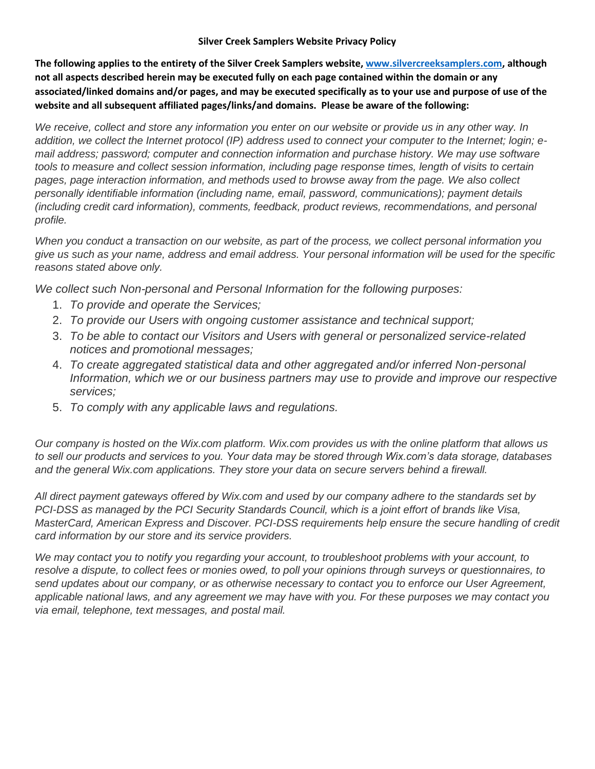## **Silver Creek Samplers Website Privacy Policy**

**The following applies to the entirety of the Silver Creek Samplers website[, www.silvercreeksamplers.com,](http://www.silvercreeksamplers.com/) although not all aspects described herein may be executed fully on each page contained within the domain or any associated/linked domains and/or pages, and may be executed specifically as to your use and purpose of use of the website and all subsequent affiliated pages/links/and domains. Please be aware of the following:**

*We receive, collect and store any information you enter on our website or provide us in any other way. In addition, we collect the Internet protocol (IP) address used to connect your computer to the Internet; login; email address; password; computer and connection information and purchase history. We may use software tools to measure and collect session information, including page response times, length of visits to certain pages, page interaction information, and methods used to browse away from the page. We also collect personally identifiable information (including name, email, password, communications); payment details (including credit card information), comments, feedback, product reviews, recommendations, and personal profile.*

*When you conduct a transaction on our website, as part of the process, we collect personal information you give us such as your name, address and email address. Your personal information will be used for the specific reasons stated above only.*

*We collect such Non-personal and Personal Information for the following purposes:*

- 1. *To provide and operate the Services;*
- 2. *To provide our Users with ongoing customer assistance and technical support;*
- 3. *To be able to contact our Visitors and Users with general or personalized service-related notices and promotional messages;*
- 4. *To create aggregated statistical data and other aggregated and/or inferred Non-personal Information, which we or our business partners may use to provide and improve our respective services;*
- 5. *To comply with any applicable laws and regulations.*

*Our company is hosted on the Wix.com platform. Wix.com provides us with the online platform that allows us to sell our products and services to you. Your data may be stored through Wix.com's data storage, databases and the general Wix.com applications. They store your data on secure servers behind a firewall.*

*All direct payment gateways offered by Wix.com and used by our company adhere to the standards set by PCI-DSS as managed by the PCI Security Standards Council, which is a joint effort of brands like Visa, MasterCard, American Express and Discover. PCI-DSS requirements help ensure the secure handling of credit card information by our store and its service providers.*

*We may contact you to notify you regarding your account, to troubleshoot problems with your account, to resolve a dispute, to collect fees or monies owed, to poll your opinions through surveys or questionnaires, to send updates about our company, or as otherwise necessary to contact you to enforce our User Agreement, applicable national laws, and any agreement we may have with you. For these purposes we may contact you via email, telephone, text messages, and postal mail.*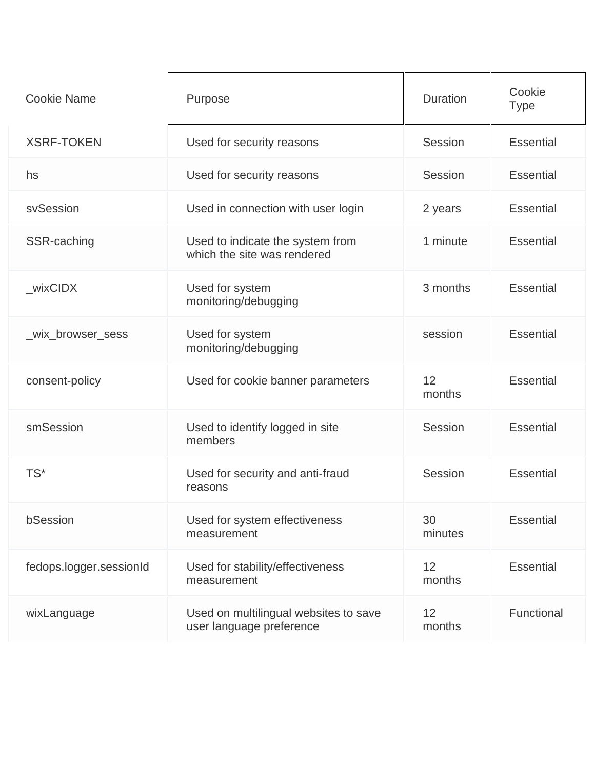| <b>Cookie Name</b>      | Purpose                                                           | <b>Duration</b> | Cookie<br><b>Type</b> |
|-------------------------|-------------------------------------------------------------------|-----------------|-----------------------|
| <b>XSRF-TOKEN</b>       | Used for security reasons                                         | Session         | <b>Essential</b>      |
| hs                      | Used for security reasons                                         | Session         | <b>Essential</b>      |
| svSession               | Used in connection with user login                                | 2 years         | <b>Essential</b>      |
| SSR-caching             | Used to indicate the system from<br>which the site was rendered   | 1 minute        | <b>Essential</b>      |
| wixCIDX                 | Used for system<br>monitoring/debugging                           | 3 months        | <b>Essential</b>      |
| _wix_browser_sess       | Used for system<br>monitoring/debugging                           | session         | <b>Essential</b>      |
| consent-policy          | Used for cookie banner parameters                                 | 12<br>months    | <b>Essential</b>      |
| smSession               | Used to identify logged in site<br>members                        | Session         | <b>Essential</b>      |
| TS*                     | Used for security and anti-fraud<br>reasons                       | Session         | <b>Essential</b>      |
| bSession                | Used for system effectiveness<br>measurement                      | 30<br>minutes   | <b>Essential</b>      |
| fedops.logger.sessionId | Used for stability/effectiveness<br>measurement                   | 12<br>months    | <b>Essential</b>      |
| wixLanguage             | Used on multilingual websites to save<br>user language preference | 12<br>months    | Functional            |